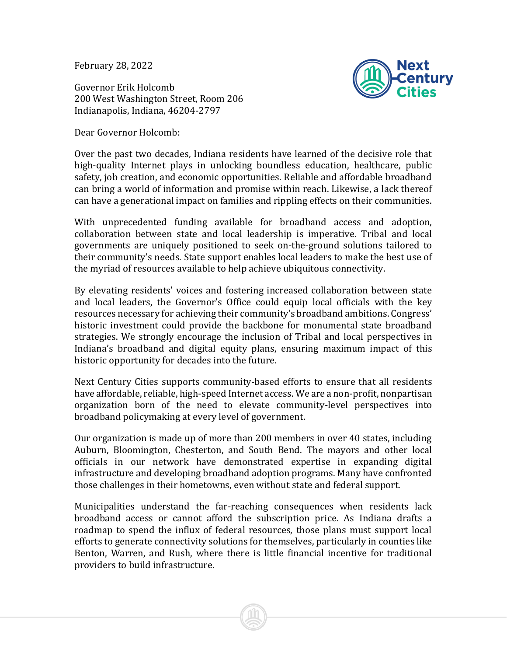February 28, 2022

Governor Erik Holcomb 200 West Washington Street, Room 206 Indianapolis, Indiana, 46204-2797

Dear Governor Holcomb:



Over the past two decades, Indiana residents have learned of the decisive role that high-quality Internet plays in unlocking boundless education, healthcare, public safety, job creation, and economic opportunities. Reliable and affordable broadband can bring a world of information and promise within reach. Likewise, a lack thereof can have a generational impact on families and rippling effects on their communities.

With unprecedented funding available for broadband access and adoption, collaboration between state and local leadership is imperative. Tribal and local governments are uniquely positioned to seek on-the-ground solutions tailored to their community's needs. State support enables local leaders to make the best use of the myriad of resources available to help achieve ubiquitous connectivity.

By elevating residents' voices and fostering increased collaboration between state and local leaders, the Governor's Office could equip local officials with the key resources necessary for achieving their community's broadband ambitions. Congress' historic investment could provide the backbone for monumental state broadband strategies. We strongly encourage the inclusion of Tribal and local perspectives in Indiana's broadband and digital equity plans, ensuring maximum impact of this historic opportunity for decades into the future.

Next Century Cities supports community-based efforts to ensure that all residents have affordable, reliable, high-speed Internet access. We are a non-profit, nonpartisan organization born of the need to elevate community-level perspectives into broadband policymaking at every level of government.

Our organization is made up of more than 200 members in over 40 states, including Auburn, Bloomington, Chesterton, and South Bend. The mayors and other local officials in our network have demonstrated expertise in expanding digital infrastructure and developing broadband adoption programs. Many have confronted those challenges in their hometowns, even without state and federal support.

Municipalities understand the far-reaching consequences when residents lack broadband access or cannot afford the subscription price. As Indiana drafts a roadmap to spend the influx of federal resources, those plans must support local efforts to generate connectivity solutions for themselves, particularly in counties like Benton, Warren, and Rush, where there is little financial incentive for traditional providers to build infrastructure.